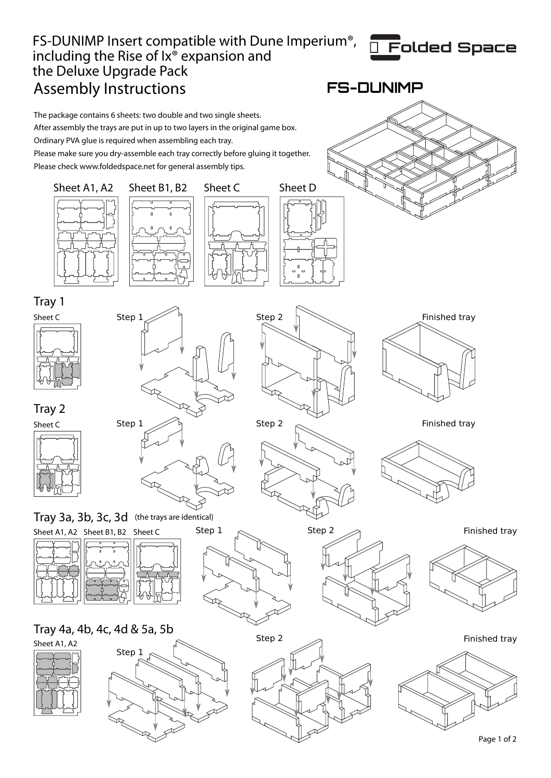